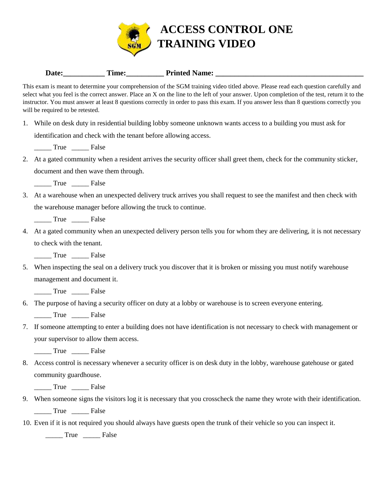

| Date: | --<br>l'ime: | <b>Printed Name:</b> |
|-------|--------------|----------------------|
|       |              |                      |

This exam is meant to determine your comprehension of the SGM training video titled above. Please read each question carefully and select what you feel is the correct answer. Place an X on the line to the left of your answer. Upon completion of the test, return it to the instructor. You must answer at least 8 questions correctly in order to pass this exam. If you answer less than 8 questions correctly you will be required to be retested.

1. While on desk duty in residential building lobby someone unknown wants access to a building you must ask for identification and check with the tenant before allowing access.

\_\_\_\_\_ True \_\_\_\_\_ False

- 2. At a gated community when a resident arrives the security officer shall greet them, check for the community sticker, document and then wave them through.
	- \_\_\_\_\_ True \_\_\_\_\_ False
- 3. At a warehouse when an unexpected delivery truck arrives you shall request to see the manifest and then check with the warehouse manager before allowing the truck to continue.

\_\_\_\_\_ True \_\_\_\_\_ False

4. At a gated community when an unexpected delivery person tells you for whom they are delivering, it is not necessary to check with the tenant.

\_\_\_\_\_ True \_\_\_\_\_ False

5. When inspecting the seal on a delivery truck you discover that it is broken or missing you must notify warehouse management and document it.

\_\_\_\_\_ True \_\_\_\_\_ False

6. The purpose of having a security officer on duty at a lobby or warehouse is to screen everyone entering.

\_\_\_\_\_ True \_\_\_\_\_ False

7. If someone attempting to enter a building does not have identification is not necessary to check with management or your supervisor to allow them access.

\_\_\_\_\_ True \_\_\_\_\_ False

8. Access control is necessary whenever a security officer is on desk duty in the lobby, warehouse gatehouse or gated community guardhouse.

\_\_\_\_\_ True \_\_\_\_\_ False

9. When someone signs the visitors log it is necessary that you crosscheck the name they wrote with their identification.

\_\_\_\_\_ True \_\_\_\_\_ False

10. Even if it is not required you should always have guests open the trunk of their vehicle so you can inspect it.

\_\_\_\_\_ True \_\_\_\_\_ False